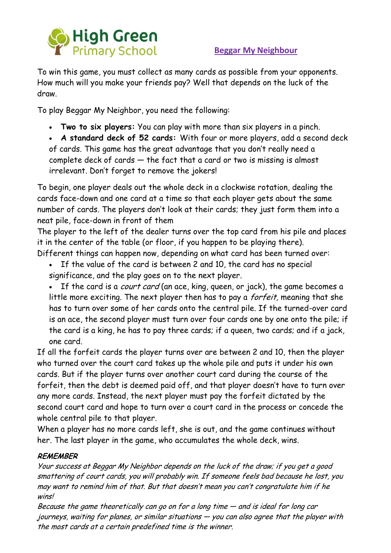

### **Beggar My Neighbour**

To win this game, you must collect as many cards as possible from your opponents. How much will you make your friends pay? Well that depends on the luck of the draw.

To play Beggar My Neighbor, you need the following:

**Two to six players:** You can play with more than six players in a pinch.

 **A standard deck of 52 cards:** With four or more players, add a second deck of cards. This game has the great advantage that you don't really need a complete deck of cards — the fact that a card or two is missing is almost irrelevant. Don't forget to remove the jokers!

To begin, one player deals out the whole deck in a clockwise rotation, dealing the cards face-down and one card at a time so that each player gets about the same number of cards. The players don't look at their cards; they just form them into a neat pile, face-down in front of them

The player to the left of the dealer turns over the top card from his pile and places it in the center of the table (or floor, if you happen to be playing there).

- Different things can happen now, depending on what card has been turned over:
	- If the value of the card is between 2 and 10, the card has no special significance, and the play goes on to the next player.
	- If the card is a *court card* (an ace, king, queen, or jack), the game becomes a little more exciting. The next player then has to pay a *forfeit*, meaning that she has to turn over some of her cards onto the central pile. If the turned-over card is an ace, the second player must turn over four cards one by one onto the pile; if the card is a king, he has to pay three cards; if a queen, two cards; and if a jack, one card.

If all the forfeit cards the player turns over are between 2 and 10, then the player who turned over the court card takes up the whole pile and puts it under his own cards. But if the player turns over another court card during the course of the forfeit, then the debt is deemed paid off, and that player doesn't have to turn over any more cards. Instead, the next player must pay the forfeit dictated by the second court card and hope to turn over a court card in the process or concede the whole central pile to that player.

When a player has no more cards left, she is out, and the game continues without her. The last player in the game, who accumulates the whole deck, wins.

### **REMEMBER**

Your success at Beggar My Neighbor depends on the luck of the draw; if you get a good smattering of court cards, you will probably win. If someone feels bad because he lost, you may want to remind him of that. But that doesn't mean you can't congratulate him if he wins!

Because the game theoretically can go on for a long time — and is ideal for long car journeys, waiting for planes, or similar situations — you can also agree that the player with the most cards at a certain predefined time is the winner.